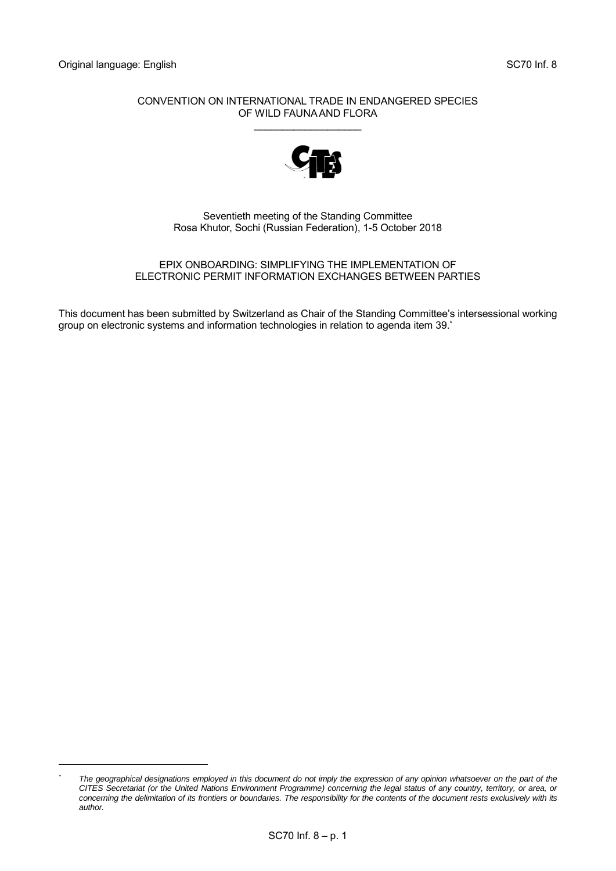-

#### CONVENTION ON INTERNATIONAL TRADE IN ENDANGERED SPECIES OF WILD FAUNA AND FLORA

\_\_\_\_\_\_\_\_\_\_\_\_\_\_\_\_\_\_\_



Seventieth meeting of the Standing Committee Rosa Khutor, Sochi (Russian Federation), 1-5 October 2018

#### EPIX ONBOARDING: SIMPLIFYING THE IMPLEMENTATION OF ELECTRONIC PERMIT INFORMATION EXCHANGES BETWEEN PARTIES

This document has been submitted by Switzerland as Chair of the Standing Committee's intersessional working group on electronic systems and information technologies in relation to agenda item 39. \*

*<sup>\*</sup> The geographical designations employed in this document do not imply the expression of any opinion whatsoever on the part of the CITES Secretariat (or the United Nations Environment Programme) concerning the legal status of any country, territory, or area, or*  concerning the delimitation of its frontiers or boundaries. The responsibility for the contents of the document rests exclusively with its *author.*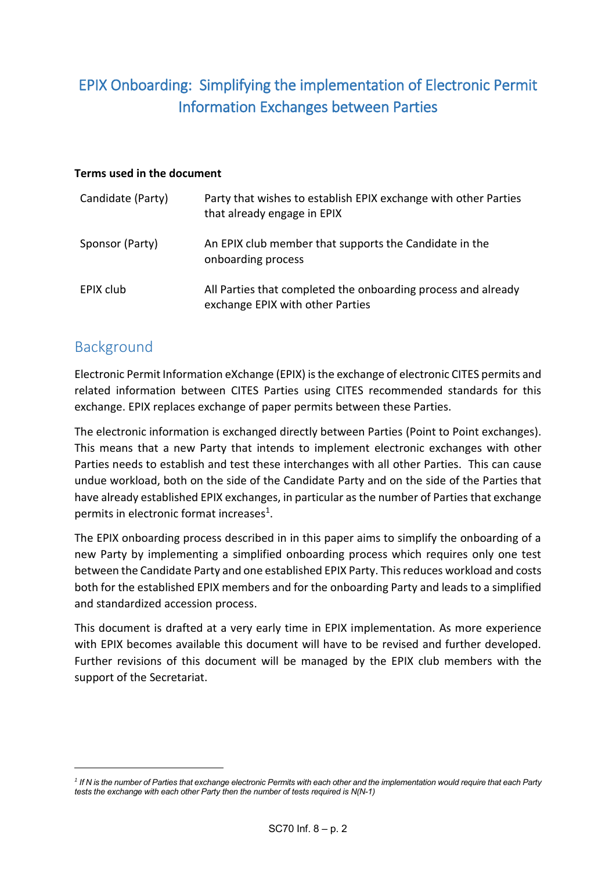# EPIX Onboarding: Simplifying the implementation of Electronic Permit Information Exchanges between Parties

### **Terms used in the document**

| Candidate (Party) | Party that wishes to establish EPIX exchange with other Parties<br>that already engage in EPIX    |
|-------------------|---------------------------------------------------------------------------------------------------|
| Sponsor (Party)   | An EPIX club member that supports the Candidate in the<br>onboarding process                      |
| EPIX club         | All Parties that completed the onboarding process and already<br>exchange EPIX with other Parties |

## Background

-

Electronic Permit Information eXchange (EPIX) is the exchange of electronic CITES permits and related information between CITES Parties using CITES recommended standards for this exchange. EPIX replaces exchange of paper permits between these Parties.

The electronic information is exchanged directly between Parties (Point to Point exchanges). This means that a new Party that intends to implement electronic exchanges with other Parties needs to establish and test these interchanges with all other Parties. This can cause undue workload, both on the side of the Candidate Party and on the side of the Parties that have already established EPIX exchanges, in particular as the number of Parties that exchange permits in electronic format increases<sup>1</sup>.

The EPIX onboarding process described in in this paper aims to simplify the onboarding of a new Party by implementing a simplified onboarding process which requires only one test between the Candidate Party and one established EPIX Party. This reduces workload and costs both for the established EPIX members and for the onboarding Party and leads to a simplified and standardized accession process.

This document is drafted at a very early time in EPIX implementation. As more experience with EPIX becomes available this document will have to be revised and further developed. Further revisions of this document will be managed by the EPIX club members with the support of the Secretariat.

<sup>&</sup>lt;sup>1</sup> If N is the number of Parties that exchange electronic Permits with each other and the implementation would require that each Party *tests the exchange with each other Party then the number of tests required is N(N-1)*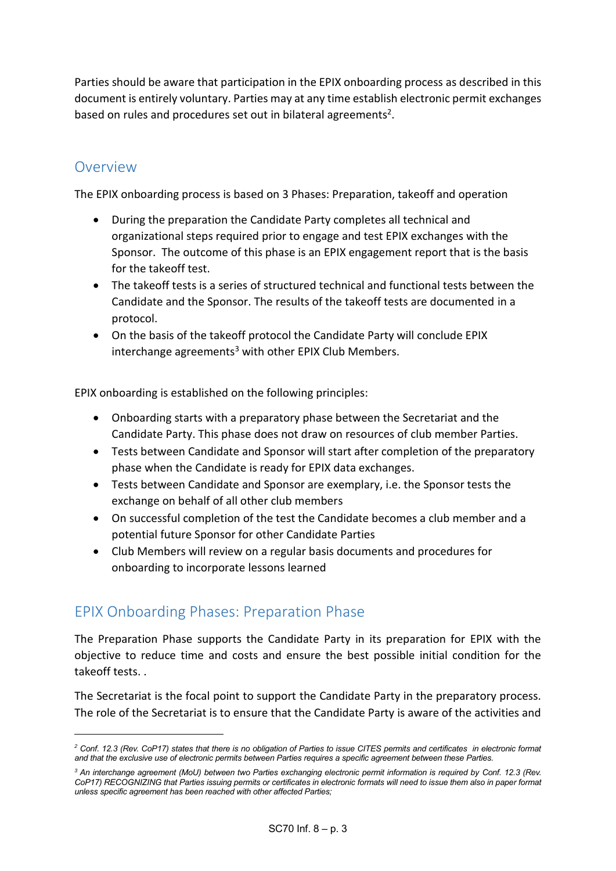Parties should be aware that participation in the EPIX onboarding process as described in this document is entirely voluntary. Parties may at any time establish electronic permit exchanges based on rules and procedures set out in bilateral agreements<sup>2</sup>.

### Overview

-

The EPIX onboarding process is based on 3 Phases: Preparation, takeoff and operation

- During the preparation the Candidate Party completes all technical and organizational steps required prior to engage and test EPIX exchanges with the Sponsor. The outcome of this phase is an EPIX engagement report that is the basis for the takeoff test.
- The takeoff tests is a series of structured technical and functional tests between the Candidate and the Sponsor. The results of the takeoff tests are documented in a protocol.
- On the basis of the takeoff protocol the Candidate Party will conclude EPIX interchange agreements<sup>3</sup> with other EPIX Club Members.

EPIX onboarding is established on the following principles:

- Onboarding starts with a preparatory phase between the Secretariat and the Candidate Party. This phase does not draw on resources of club member Parties.
- Tests between Candidate and Sponsor will start after completion of the preparatory phase when the Candidate is ready for EPIX data exchanges.
- Tests between Candidate and Sponsor are exemplary, i.e. the Sponsor tests the exchange on behalf of all other club members
- On successful completion of the test the Candidate becomes a club member and a potential future Sponsor for other Candidate Parties
- Club Members will review on a regular basis documents and procedures for onboarding to incorporate lessons learned

## EPIX Onboarding Phases: Preparation Phase

The Preparation Phase supports the Candidate Party in its preparation for EPIX with the objective to reduce time and costs and ensure the best possible initial condition for the takeoff tests. .

The Secretariat is the focal point to support the Candidate Party in the preparatory process. The role of the Secretariat is to ensure that the Candidate Party is aware of the activities and

*<sup>2</sup> Conf. 12.3 (Rev. CoP17) states that there is no obligation of Parties to issue CITES permits and certificates in electronic format and that the exclusive use of electronic permits between Parties requires a specific agreement between these Parties.* 

*<sup>3</sup> An interchange agreement (MoU) between two Parties exchanging electronic permit information is required by Conf. 12.3 (Rev. CoP17) RECOGNIZING that Parties issuing permits or certificates in electronic formats will need to issue them also in paper format unless specific agreement has been reached with other affected Parties;*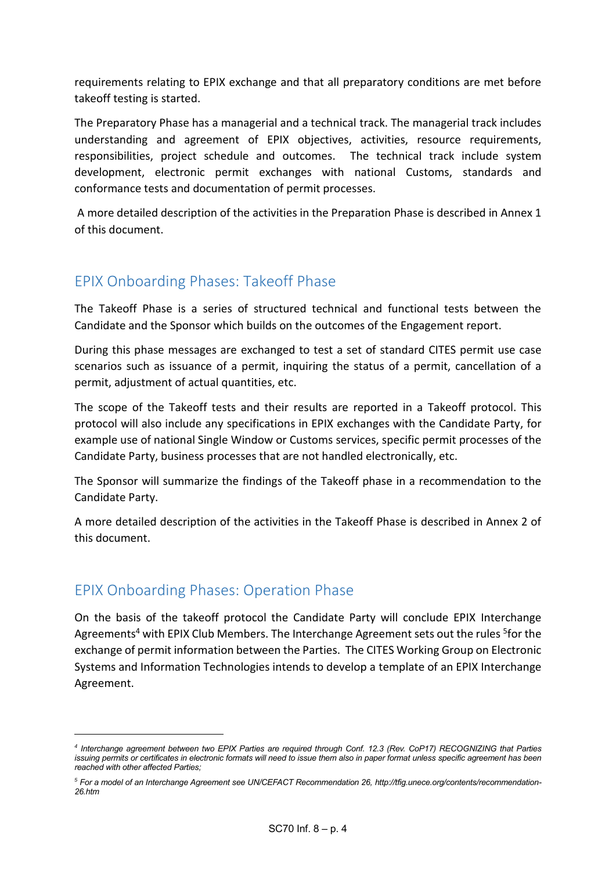requirements relating to EPIX exchange and that all preparatory conditions are met before takeoff testing is started.

The Preparatory Phase has a managerial and a technical track. The managerial track includes understanding and agreement of EPIX objectives, activities, resource requirements, responsibilities, project schedule and outcomes. The technical track include system development, electronic permit exchanges with national Customs, standards and conformance tests and documentation of permit processes.

A more detailed description of the activities in the Preparation Phase is described in Annex 1 of this document.

### EPIX Onboarding Phases: Takeoff Phase

The Takeoff Phase is a series of structured technical and functional tests between the Candidate and the Sponsor which builds on the outcomes of the Engagement report.

During this phase messages are exchanged to test a set of standard CITES permit use case scenarios such as issuance of a permit, inquiring the status of a permit, cancellation of a permit, adjustment of actual quantities, etc.

The scope of the Takeoff tests and their results are reported in a Takeoff protocol. This protocol will also include any specifications in EPIX exchanges with the Candidate Party, for example use of national Single Window or Customs services, specific permit processes of the Candidate Party, business processes that are not handled electronically, etc.

The Sponsor will summarize the findings of the Takeoff phase in a recommendation to the Candidate Party.

A more detailed description of the activities in the Takeoff Phase is described in Annex 2 of this document.

## EPIX Onboarding Phases: Operation Phase

-

On the basis of the takeoff protocol the Candidate Party will conclude EPIX Interchange Agreements<sup>4</sup> with EPIX Club Members. The Interchange Agreement sets out the rules <sup>5</sup>for the exchange of permit information between the Parties. The CITES Working Group on Electronic Systems and Information Technologies intends to develop a template of an EPIX Interchange Agreement.

*<sup>4</sup> Interchange agreement between two EPIX Parties are required through Conf. 12.3 (Rev. CoP17) RECOGNIZING that Parties issuing permits or certificates in electronic formats will need to issue them also in paper format unless specific agreement has been reached with other affected Parties;*

*<sup>5</sup> For a model of an Interchange Agreement see UN/CEFACT Recommendation 26, http://tfig.unece.org/contents/recommendation-26.htm*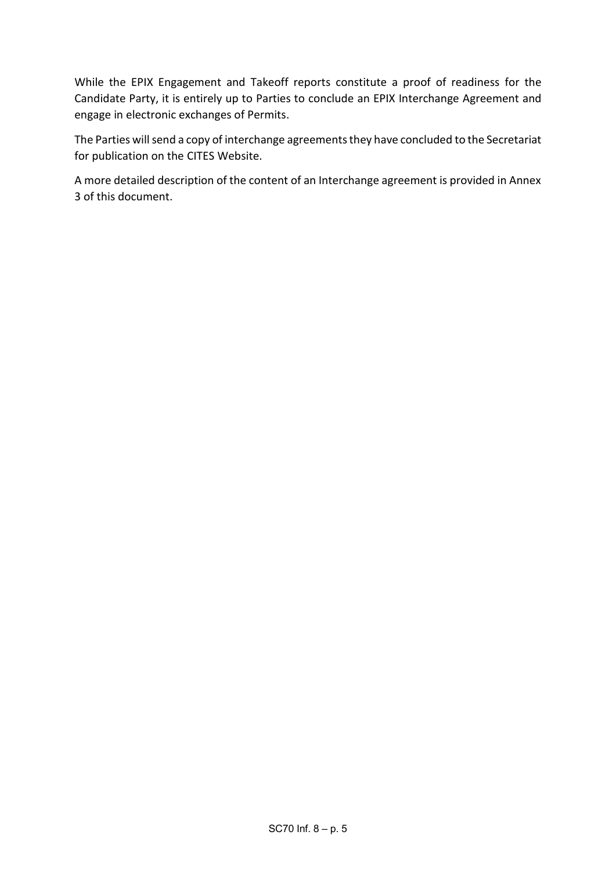While the EPIX Engagement and Takeoff reports constitute a proof of readiness for the Candidate Party, it is entirely up to Parties to conclude an EPIX Interchange Agreement and engage in electronic exchanges of Permits.

The Parties will send a copy of interchange agreements they have concluded to the Secretariat for publication on the CITES Website.

A more detailed description of the content of an Interchange agreement is provided in Annex 3 of this document.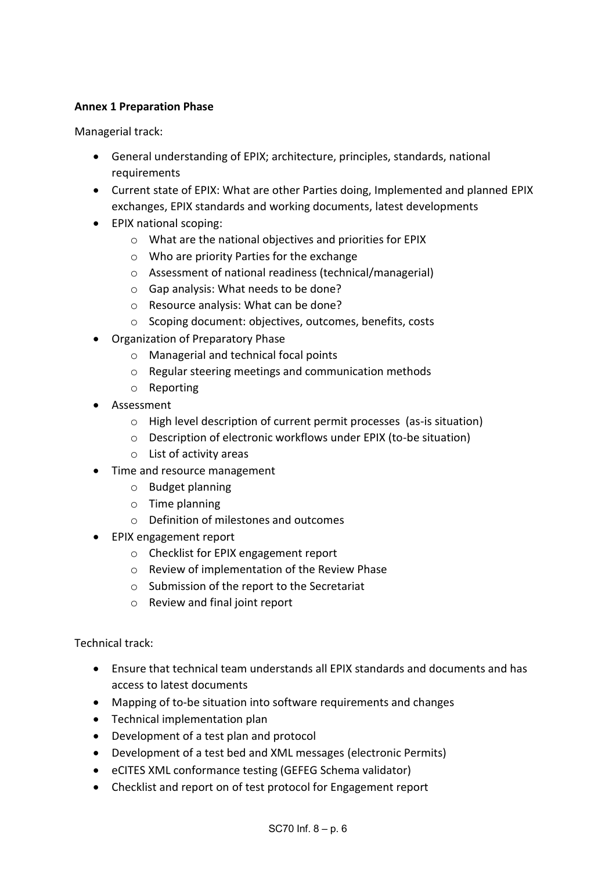### **Annex 1 Preparation Phase**

Managerial track:

- General understanding of EPIX; architecture, principles, standards, national **requirements**
- Current state of EPIX: What are other Parties doing, Implemented and planned EPIX exchanges, EPIX standards and working documents, latest developments
- EPIX national scoping:
	- o What are the national objectives and priorities for EPIX
	- o Who are priority Parties for the exchange
	- o Assessment of national readiness (technical/managerial)
	- o Gap analysis: What needs to be done?
	- o Resource analysis: What can be done?
	- o Scoping document: objectives, outcomes, benefits, costs
- Organization of Preparatory Phase
	- o Managerial and technical focal points
	- o Regular steering meetings and communication methods
	- o Reporting
- Assessment
	- o High level description of current permit processes (as-is situation)
	- o Description of electronic workflows under EPIX (to-be situation)
	- o List of activity areas
- Time and resource management
	- o Budget planning
	- o Time planning
	- o Definition of milestones and outcomes
- EPIX engagement report
	- o Checklist for EPIX engagement report
	- o Review of implementation of the Review Phase
	- o Submission of the report to the Secretariat
	- o Review and final joint report

Technical track:

- Ensure that technical team understands all EPIX standards and documents and has access to latest documents
- Mapping of to-be situation into software requirements and changes
- Technical implementation plan
- Development of a test plan and protocol
- Development of a test bed and XML messages (electronic Permits)
- eCITES XML conformance testing (GEFEG Schema validator)
- Checklist and report on of test protocol for Engagement report